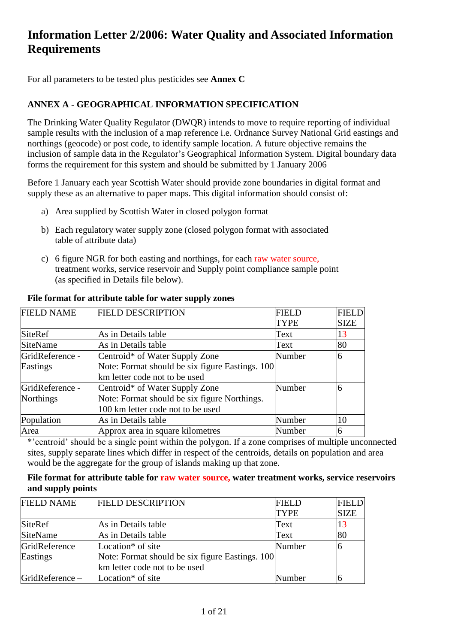# **Information Letter 2/2006: Water Quality and Associated Information Requirements**

For all parameters to be tested plus pesticides see **Annex C**

## **ANNEX A - GEOGRAPHICAL INFORMATION SPECIFICATION**

The Drinking Water Quality Regulator (DWQR) intends to move to require reporting of individual sample results with the inclusion of a map reference i.e. Ordnance Survey National Grid eastings and northings (geocode) or post code, to identify sample location. A future objective remains the inclusion of sample data in the Regulator's Geographical Information System. Digital boundary data forms the requirement for this system and should be submitted by 1 January 2006

Before 1 January each year Scottish Water should provide zone boundaries in digital format and supply these as an alternative to paper maps. This digital information should consist of:

- a) Area supplied by Scottish Water in closed polygon format
- b) Each regulatory water supply zone (closed polygon format with associated table of attribute data)
- c) 6 figure NGR for both easting and northings, for each raw water source, treatment works, service reservoir and Supply point compliance sample point (as specified in Details file below).

| <b>FIELD NAME</b> | <b>FIELD DESCRIPTION</b>                        | <b>FIELD</b> | <b>FIELD</b> |
|-------------------|-------------------------------------------------|--------------|--------------|
|                   |                                                 | <b>TYPE</b>  | <b>SIZE</b>  |
| <b>SiteRef</b>    | As in Details table                             | Text         | 13           |
| <b>SiteName</b>   | As in Details table                             | Text         | 80           |
| GridReference -   | Centroid* of Water Supply Zone                  | Number       | 6            |
| Eastings          | Note: Format should be six figure Eastings. 100 |              |              |
|                   | km letter code not to be used                   |              |              |
| GridReference -   | Centroid* of Water Supply Zone                  | Number       | Ю            |
| <b>Northings</b>  | Note: Format should be six figure Northings.    |              |              |
|                   | 100 km letter code not to be used               |              |              |
| Population        | As in Details table                             | Number       | 10           |
| Area              | Approx area in square kilometres                | Number       | n            |

#### **File format for attribute table for water supply zones**

\*'centroid' should be a single point within the polygon. If a zone comprises of multiple unconnected sites, supply separate lines which differ in respect of the centroids, details on population and area would be the aggregate for the group of islands making up that zone.

#### **File format for attribute table for raw water source, water treatment works, service reservoirs and supply points**

| <b>FIELD NAME</b> | <b>FIELD DESCRIPTION</b>                        | <b>FIELD</b> | <b>FIELD</b> |
|-------------------|-------------------------------------------------|--------------|--------------|
|                   |                                                 | <b>TYPE</b>  | <b>SIZE</b>  |
| <b>SiteRef</b>    | As in Details table                             | Text         | 13           |
| SiteName          | As in Details table                             | Text         | 80           |
| GridReference     | Location <sup>*</sup> of site                   | Number       |              |
| Eastings          | Note: Format should be six figure Eastings. 100 |              |              |
|                   | km letter code not to be used                   |              |              |
| GridReference-    | Location <sup>*</sup> of site                   | Number       |              |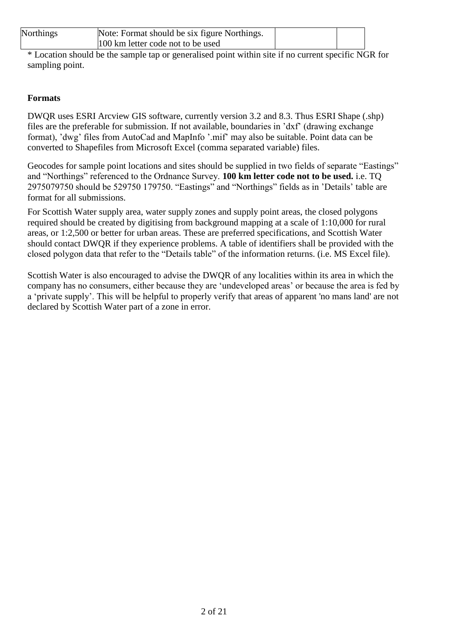| <b>Northings</b> | Note: Format should be six figure Northings. |  |
|------------------|----------------------------------------------|--|
|                  | 100 km letter code not to be used            |  |

\* Location should be the sample tap or generalised point within site if no current specific NGR for sampling point.

# **Formats**

DWQR uses ESRI Arcview GIS software, currently version 3.2 and 8.3. Thus ESRI Shape (.shp) files are the preferable for submission. If not available, boundaries in 'dxf' (drawing exchange format), 'dwg' files from AutoCad and MapInfo '.mif' may also be suitable. Point data can be converted to Shapefiles from Microsoft Excel (comma separated variable) files.

Geocodes for sample point locations and sites should be supplied in two fields of separate "Eastings" and "Northings" referenced to the Ordnance Survey. **100 km letter code not to be used.** i.e. TQ 2975079750 should be 529750 179750. "Eastings" and "Northings" fields as in 'Details' table are format for all submissions.

For Scottish Water supply area, water supply zones and supply point areas, the closed polygons required should be created by digitising from background mapping at a scale of 1:10,000 for rural areas, or 1:2,500 or better for urban areas. These are preferred specifications, and Scottish Water should contact DWQR if they experience problems. A table of identifiers shall be provided with the closed polygon data that refer to the "Details table" of the information returns. (i.e. MS Excel file).

Scottish Water is also encouraged to advise the DWQR of any localities within its area in which the company has no consumers, either because they are 'undeveloped areas' or because the area is fed by a 'private supply'. This will be helpful to properly verify that areas of apparent 'no mans land' are not declared by Scottish Water part of a zone in error.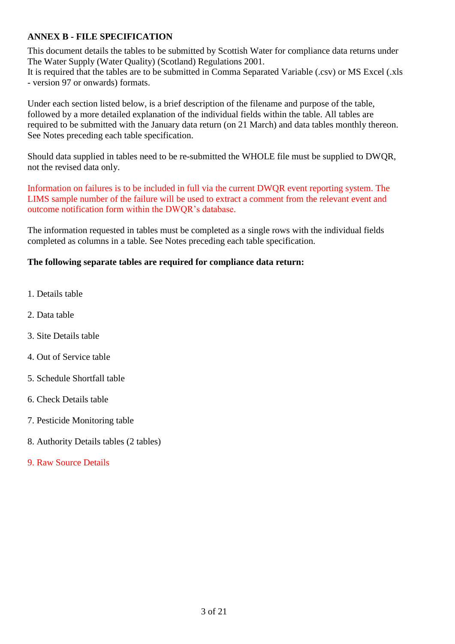## **ANNEX B - FILE SPECIFICATION**

This document details the tables to be submitted by Scottish Water for compliance data returns under The Water Supply (Water Quality) (Scotland) Regulations 2001. It is required that the tables are to be submitted in Comma Separated Variable (.csv) or MS Excel (.xls - version 97 or onwards) formats.

Under each section listed below, is a brief description of the filename and purpose of the table, followed by a more detailed explanation of the individual fields within the table. All tables are required to be submitted with the January data return (on 21 March) and data tables monthly thereon. See Notes preceding each table specification.

Should data supplied in tables need to be re-submitted the WHOLE file must be supplied to DWQR, not the revised data only.

Information on failures is to be included in full via the current DWQR event reporting system. The LIMS sample number of the failure will be used to extract a comment from the relevant event and outcome notification form within the DWQR's database.

The information requested in tables must be completed as a single rows with the individual fields completed as columns in a table. See Notes preceding each table specification.

## **The following separate tables are required for compliance data return:**

- 1. Details table
- 2. Data table
- 3. Site Details table
- 4. Out of Service table
- 5. Schedule Shortfall table
- 6. Check Details table
- 7. Pesticide Monitoring table
- 8. Authority Details tables (2 tables)
- 9. Raw Source Details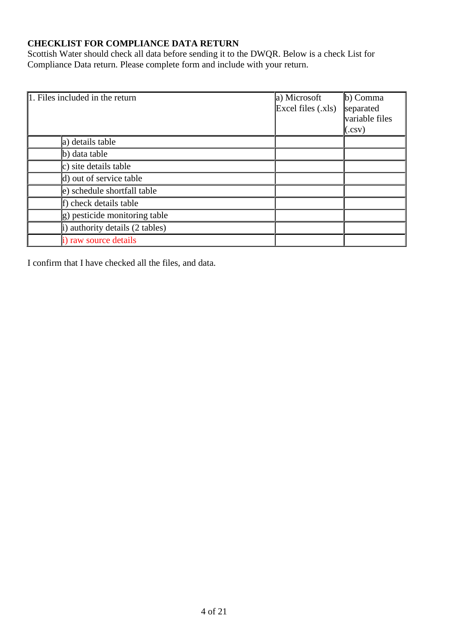# **CHECKLIST FOR COMPLIANCE DATA RETURN**

Scottish Water should check all data before sending it to the DWQR. Below is a check List for Compliance Data return. Please complete form and include with your return.

| 1. Files included in the return        | a) Microsoft<br>Excel files (.xls) | $\vert$ b) Comma<br>separated<br>variable files<br>(.csv) |
|----------------------------------------|------------------------------------|-----------------------------------------------------------|
| a) details table                       |                                    |                                                           |
| $\mathbf b)$ data table                |                                    |                                                           |
| $ c\rangle$ site details table         |                                    |                                                           |
| $\vert$ d) out of service table        |                                    |                                                           |
| e) schedule shortfall table            |                                    |                                                           |
| f) check details table                 |                                    |                                                           |
| $ g\rangle$ pesticide monitoring table |                                    |                                                           |
| i) authority details (2 tables)        |                                    |                                                           |
| i) raw source details                  |                                    |                                                           |

I confirm that I have checked all the files, and data.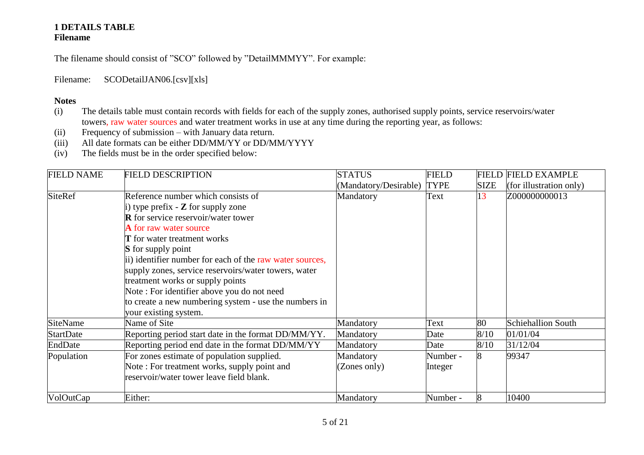# **1 DETAILS TABLE Filename**

The filename should consist of "SCO" followed by "DetailMMMYY". For example:

Filename: SCODetailJAN06.[csv][xls]

- (i) The details table must contain records with fields for each of the supply zones, authorised supply points, service reservoirs/water towers, raw water sources and water treatment works in use at any time during the reporting year, as follows:
- (ii) Frequency of submission with January data return.
- (iii) All date formats can be either DD/MM/YY or DD/MM/YYYY
- (iv) The fields must be in the order specified below:

| <b>FIELD NAME</b> | <b>FIELD DESCRIPTION</b>                                 | <b>STATUS</b>         | <b>FIELD</b> |             | <b>FIELD FIELD EXAMPLE</b> |
|-------------------|----------------------------------------------------------|-----------------------|--------------|-------------|----------------------------|
|                   |                                                          | (Mandatory/Desirable) | <b>TYPE</b>  | <b>SIZE</b> | (for illustration only)    |
| <b>SiteRef</b>    | Reference number which consists of                       | Mandatory             | Text         | 13          | Z000000000013              |
|                   | i) type prefix $\sim$ <b>Z</b> for supply zone           |                       |              |             |                            |
|                   | <b>R</b> for service reservoir/water tower               |                       |              |             |                            |
|                   | <b>A</b> for raw water source                            |                       |              |             |                            |
|                   | <b>T</b> for water treatment works                       |                       |              |             |                            |
|                   | <b>S</b> for supply point                                |                       |              |             |                            |
|                   | ii) identifier number for each of the raw water sources, |                       |              |             |                            |
|                   | supply zones, service reservoirs/water towers, water     |                       |              |             |                            |
|                   | treatment works or supply points                         |                       |              |             |                            |
|                   | Note: For identifier above you do not need               |                       |              |             |                            |
|                   | to create a new numbering system - use the numbers in    |                       |              |             |                            |
|                   | your existing system.                                    |                       |              |             |                            |
| <b>SiteName</b>   | Name of Site                                             | Mandatory             | Text         | 80          | Schiehallion South         |
| <b>StartDate</b>  | Reporting period start date in the format DD/MM/YY.      | Mandatory             | Date         | 8/10        | 01/01/04                   |
| EndDate           | Reporting period end date in the format DD/MM/YY         | Mandatory             | Date         | 8/10        | 31/12/04                   |
| Population        | For zones estimate of population supplied.               | Mandatory             | Number -     |             | 99347                      |
|                   | Note: For treatment works, supply point and              | (Zones only)          | Integer      |             |                            |
|                   | reservoir/water tower leave field blank.                 |                       |              |             |                            |
| VolOutCap         | Either:                                                  | Mandatory             | Number -     |             | 10400                      |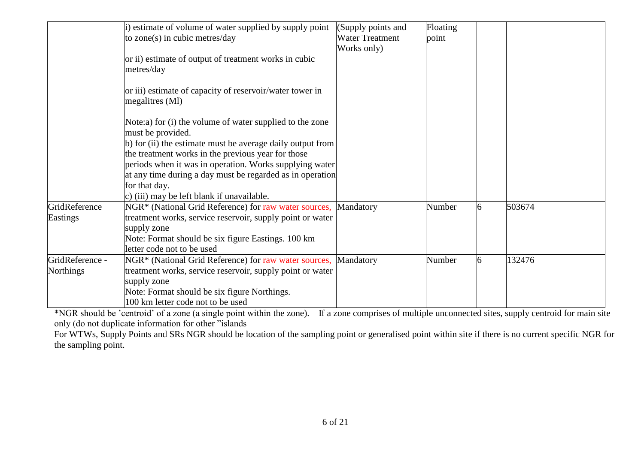|                 | i) estimate of volume of water supplied by supply point    | (Supply points and     | Floating |   |        |
|-----------------|------------------------------------------------------------|------------------------|----------|---|--------|
|                 | to zone(s) in cubic metres/day                             | <b>Water Treatment</b> | point    |   |        |
|                 |                                                            | Works only)            |          |   |        |
|                 | or ii) estimate of output of treatment works in cubic      |                        |          |   |        |
|                 | metres/day                                                 |                        |          |   |        |
|                 |                                                            |                        |          |   |        |
|                 | or iii) estimate of capacity of reservoir/water tower in   |                        |          |   |        |
|                 | megalitres (Ml)                                            |                        |          |   |        |
|                 |                                                            |                        |          |   |        |
|                 | Note:a) for (i) the volume of water supplied to the zone   |                        |          |   |        |
|                 | must be provided.                                          |                        |          |   |        |
|                 | b) for (ii) the estimate must be average daily output from |                        |          |   |        |
|                 | the treatment works in the previous year for those         |                        |          |   |        |
|                 | periods when it was in operation. Works supplying water    |                        |          |   |        |
|                 | at any time during a day must be regarded as in operation  |                        |          |   |        |
|                 | for that day.                                              |                        |          |   |        |
|                 | c) (iii) may be left blank if unavailable.                 |                        |          |   |        |
| GridReference   | NGR* (National Grid Reference) for raw water sources,      | Mandatory              | Number   | 6 | 503674 |
| Eastings        | treatment works, service reservoir, supply point or water  |                        |          |   |        |
|                 | supply zone                                                |                        |          |   |        |
|                 | Note: Format should be six figure Eastings. 100 km         |                        |          |   |        |
|                 | letter code not to be used                                 |                        |          |   |        |
| GridReference - | NGR* (National Grid Reference) for raw water sources,      | Mandatory              | Number   | 6 | 132476 |
| Northings       | treatment works, service reservoir, supply point or water  |                        |          |   |        |
|                 | supply zone                                                |                        |          |   |        |
|                 | Note: Format should be six figure Northings.               |                        |          |   |        |
|                 | 100 km letter code not to be used                          |                        |          |   |        |

\*NGR should be 'centroid' of a zone (a single point within the zone). If a zone comprises of multiple unconnected sites, supply centroid for main site only (do not duplicate information for other "islands

For WTWs, Supply Points and SRs NGR should be location of the sampling point or generalised point within site if there is no current specific NGR for the sampling point.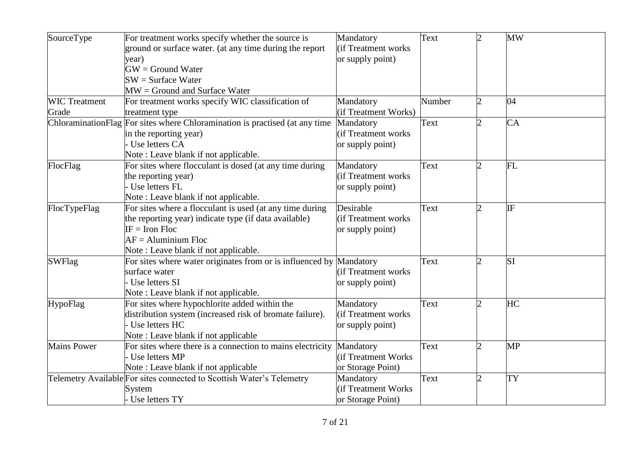| SourceType           | For treatment works specify whether the source is                     | Mandatory            | Text   | $\overline{2}$ | <b>MW</b> |
|----------------------|-----------------------------------------------------------------------|----------------------|--------|----------------|-----------|
|                      | ground or surface water. (at any time during the report               | (if Treatment works) |        |                |           |
|                      | year)                                                                 | or supply point)     |        |                |           |
|                      | $GW =$ Ground Water                                                   |                      |        |                |           |
|                      | $SW = Surface Water$                                                  |                      |        |                |           |
|                      | $MW =$ Ground and Surface Water                                       |                      |        |                |           |
| <b>WIC</b> Treatment | For treatment works specify WIC classification of                     | Mandatory            | Number | $\overline{2}$ | 04        |
| Grade                | treatment type                                                        | (if Treatment Works) |        |                |           |
| ChloraminationFlag   | For sites where Chloramination is practised (at any time              | Mandatory            | Text   | $\overline{2}$ | CA        |
|                      | in the reporting year)                                                | (if Treatment works) |        |                |           |
|                      | Use letters CA                                                        | or supply point)     |        |                |           |
|                      | Note: Leave blank if not applicable.                                  |                      |        |                |           |
| FlocFlag             | For sites where flocculant is dosed (at any time during               | Mandatory            | Text   | $\mathfrak{D}$ | <b>FL</b> |
|                      | the reporting year)                                                   | (if Treatment works) |        |                |           |
|                      | Use letters FL                                                        | or supply point)     |        |                |           |
|                      | Note: Leave blank if not applicable.                                  |                      |        |                |           |
| FlocTypeFlag         | For sites where a flocculant is used (at any time during              | Desirable            | Text   | $\overline{c}$ | IF        |
|                      | the reporting year) indicate type (if data available)                 | (if Treatment works) |        |                |           |
|                      | $IF = Iron Floc$                                                      | or supply point)     |        |                |           |
|                      | $AF =$ Aluminium Floc                                                 |                      |        |                |           |
|                      | Note: Leave blank if not applicable.                                  |                      |        |                |           |
| <b>SWFlag</b>        | For sites where water originates from or is influenced by Mandatory   |                      | Text   |                | <b>SI</b> |
|                      | surface water                                                         | (if Treatment works) |        |                |           |
|                      | Use letters SI                                                        | or supply point)     |        |                |           |
|                      | Note: Leave blank if not applicable.                                  |                      |        |                |           |
| HypoFlag             | For sites where hypochlorite added within the                         | Mandatory            | Text   | $\overline{2}$ | HC        |
|                      | distribution system (increased risk of bromate failure).              | (if Treatment works) |        |                |           |
|                      | Use letters HC                                                        | or supply point)     |        |                |           |
|                      | Note: Leave blank if not applicable                                   |                      |        |                |           |
| <b>Mains Power</b>   | For sites where there is a connection to mains electricity            | Mandatory            | Text   | $\overline{c}$ | <b>MP</b> |
|                      | Use letters MP                                                        | lif Treatment Works  |        |                |           |
|                      | Note: Leave blank if not applicable                                   | or Storage Point)    |        |                |           |
|                      | Telemetry Available For sites connected to Scottish Water's Telemetry | Mandatory            | Text   | $\overline{2}$ | <b>TY</b> |
|                      | System                                                                | (if Treatment Works  |        |                |           |
|                      | - Use letters TY                                                      | or Storage Point)    |        |                |           |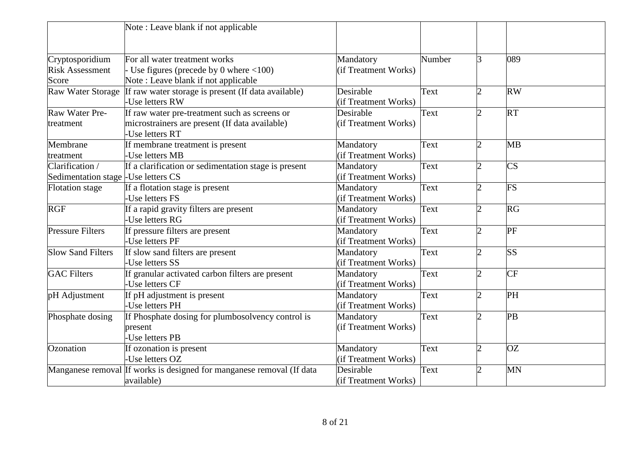|                                                         | Note: Leave blank if not applicable                                                                                             |                                   |        |                             |                        |
|---------------------------------------------------------|---------------------------------------------------------------------------------------------------------------------------------|-----------------------------------|--------|-----------------------------|------------------------|
|                                                         |                                                                                                                                 |                                   |        |                             |                        |
| Cryptosporidium<br><b>Risk Assessment</b><br>Score      | For all water treatment works<br>Use figures (precede by 0 where $\langle 100 \rangle$ )<br>Note: Leave blank if not applicable | Mandatory<br>(if Treatment Works) | Number | 3                           | 089                    |
| Raw Water Storage                                       | If raw water storage is present (If data available)<br>Use letters RW                                                           | Desirable<br>(if Treatment Works) | Text   | $\overline{2}$              | <b>RW</b>              |
| Raw Water Pre-<br>treatment                             | If raw water pre-treatment such as screens or<br>microstrainers are present (If data available)<br>Use letters RT               | Desirable<br>(if Treatment Works) | Text   | $\overline{2}$              | <b>RT</b>              |
| Membrane<br>treatment                                   | If membrane treatment is present<br>-Use letters MB                                                                             | Mandatory<br>(if Treatment Works) | Text   | $\overline{2}$              | <b>MB</b>              |
| Clarification /<br>Sedimentation stage - Use letters CS | If a clarification or sedimentation stage is present                                                                            | Mandatory<br>(if Treatment Works) | Text   | $\overline{2}$              | $\overline{\text{CS}}$ |
| <b>Flotation</b> stage                                  | If a flotation stage is present<br>-Use letters FS                                                                              | Mandatory<br>(if Treatment Works) | Text   | $\overline{2}$              | <b>FS</b>              |
| <b>RGF</b>                                              | If a rapid gravity filters are present<br>Use letters RG                                                                        | Mandatory<br>(if Treatment Works) | Text   | $\mathcal{D}_{\cdot}$       | RG                     |
| <b>Pressure Filters</b>                                 | If pressure filters are present<br>-Use letters PF                                                                              | Mandatory<br>(if Treatment Works) | Text   | $\overline{2}$              | PF                     |
| <b>Slow Sand Filters</b>                                | If slow sand filters are present<br>-Use letters SS                                                                             | Mandatory<br>(if Treatment Works) | Text   | $\overline{2}$              | <b>SS</b>              |
| <b>GAC Filters</b>                                      | If granular activated carbon filters are present<br>Use letters CF                                                              | Mandatory<br>(if Treatment Works) | Text   | $\overline{2}$              | <b>CF</b>              |
| pH Adjustment                                           | If pH adjustment is present<br>-Use letters PH                                                                                  | Mandatory<br>(if Treatment Works) | Text   | $\mathfrak{D}$              | PH                     |
| Phosphate dosing                                        | If Phosphate dosing for plumbosolvency control is<br>present<br>Use letters PB                                                  | Mandatory<br>(if Treatment Works) | Text   | $\mathcal{D}_{\mathcal{A}}$ | PB                     |
| Ozonation                                               | If ozonation is present<br>Use letters OZ                                                                                       | Mandatory<br>(if Treatment Works) | Text   | $\overline{2}$              | <b>OZ</b>              |
|                                                         | Manganese removal If works is designed for manganese removal (If data<br>available)                                             | Desirable<br>(if Treatment Works) | Text   | $\overline{2}$              | <b>MN</b>              |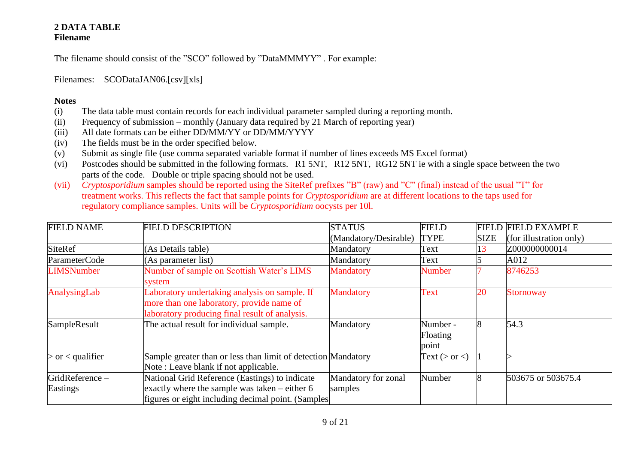## **2 DATA TABLE Filename**

The filename should consist of the "SCO" followed by "DataMMMYY" . For example:

Filenames: SCODataJAN06.[csv][xls]

- (i) The data table must contain records for each individual parameter sampled during a reporting month.
- (ii) Frequency of submission monthly (January data required by 21 March of reporting year)
- (iii) All date formats can be either DD/MM/YY or DD/MM/YYYY
- (iv) The fields must be in the order specified below.
- (v) Submit as single file (use comma separated variable format if number of lines exceeds MS Excel format)
- (vi) Postcodes should be submitted in the following formats. R1 5NT, R12 5NT, RG12 5NT ie with a single space between the two parts of the code. Double or triple spacing should not be used.
- (vii) *Cryptosporidium* samples should be reported using the SiteRef prefixes "B" (raw) and "C" (final) instead of the usual "T" for treatment works. This reflects the fact that sample points for *Cryptosporidium* are at different locations to the taps used for regulatory compliance samples. Units will be *Cryptosporidium* oocysts per 10l.

| <b>FIELD NAME</b>          | <b>FIELD DESCRIPTION</b>                                                                                                                                | <b>STATUS</b>                  | <b>FIELD</b>                  | <b>FIELD</b> | <b>FIELD EXAMPLE</b>    |
|----------------------------|---------------------------------------------------------------------------------------------------------------------------------------------------------|--------------------------------|-------------------------------|--------------|-------------------------|
|                            |                                                                                                                                                         | (Mandatory/Desirable)          | <b>TYPE</b>                   | <b>SIZE</b>  | (for illustration only) |
| <b>SiteRef</b>             | (As Details table)                                                                                                                                      | Mandatory                      | Text                          | 13           | Z000000000014           |
| ParameterCode              | (As parameter list)                                                                                                                                     | Mandatory                      | Text                          |              | A012                    |
| <b>LIMSNumber</b>          | Number of sample on Scottish Water's LIMS<br>system                                                                                                     | <b>Mandatory</b>               | <b>Number</b>                 |              | 8746253                 |
| AnalysingLab               | Laboratory undertaking analysis on sample. If<br>more than one laboratory, provide name of<br>laboratory producing final result of analysis.            | <b>Mandatory</b>               | Text                          | 20           | <b>Stornoway</b>        |
| SampleResult               | The actual result for individual sample.                                                                                                                | Mandatory                      | Number -<br>Floating<br>point | 8            | 54.3                    |
| $>$ or $<$ qualifier       | Sample greater than or less than limit of detection Mandatory<br>Note: Leave blank if not applicable.                                                   |                                | Text ( $>$ or $<$ )           |              |                         |
| GridReference-<br>Eastings | National Grid Reference (Eastings) to indicate<br>exactly where the sample was taken $-$ either 6<br>figures or eight including decimal point. (Samples | Mandatory for zonal<br>samples | Number                        | 8            | 503675 or 503675.4      |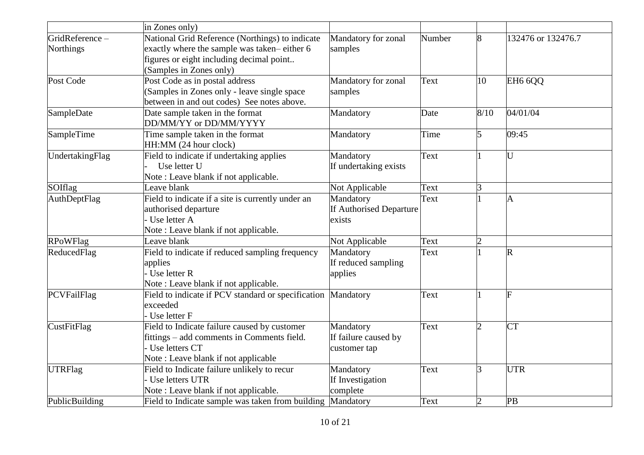|                     | in Zones only)                                             |                         |        |                |                     |
|---------------------|------------------------------------------------------------|-------------------------|--------|----------------|---------------------|
| GridReference-      | National Grid Reference (Northings) to indicate            | Mandatory for zonal     | Number | 8              | 132476 or 132476.7  |
| <b>Northings</b>    | exactly where the sample was taken-either 6                | samples                 |        |                |                     |
|                     | figures or eight including decimal point                   |                         |        |                |                     |
|                     | (Samples in Zones only)                                    |                         |        |                |                     |
| Post Code           | Post Code as in postal address                             | Mandatory for zonal     | Text   | 10             | EH <sub>6</sub> 6QQ |
|                     | (Samples in Zones only - leave single space)               | samples                 |        |                |                     |
|                     | between in and out codes) See notes above.                 |                         |        |                |                     |
| SampleDate          | Date sample taken in the format                            | Mandatory               | Date   | 8/10           | 04/01/04            |
|                     | DD/MM/YY or DD/MM/YYYY                                     |                         |        |                |                     |
| SampleTime          | Time sample taken in the format                            | Mandatory               | Time   | 5              | 09:45               |
|                     | HH:MM (24 hour clock)                                      |                         |        |                |                     |
| UndertakingFlag     | Field to indicate if undertaking applies                   | Mandatory               | Text   |                | U                   |
|                     | Use letter U                                               | If undertaking exists   |        |                |                     |
|                     | Note: Leave blank if not applicable.                       |                         |        |                |                     |
| SOIflag             | Leave blank                                                | Not Applicable          | Text   | 3              |                     |
| <b>AuthDeptFlag</b> | Field to indicate if a site is currently under an          | Mandatory               | Text   |                | $\overline{A}$      |
|                     | authorised departure                                       | If Authorised Departure |        |                |                     |
|                     | Use letter A                                               | exists                  |        |                |                     |
|                     | Note: Leave blank if not applicable.                       |                         |        |                |                     |
| <b>RPoWFlag</b>     | Leave blank                                                | Not Applicable          | Text   | $\overline{2}$ |                     |
| ReducedFlag         | Field to indicate if reduced sampling frequency            | Mandatory               | Text   |                | $\overline{R}$      |
|                     | applies                                                    | If reduced sampling     |        |                |                     |
|                     | Use letter R                                               | applies                 |        |                |                     |
|                     | Note: Leave blank if not applicable.                       |                         |        |                |                     |
| PCVFailFlag         | Field to indicate if PCV standard or specification         | Mandatory               | Text   |                |                     |
|                     | exceeded                                                   |                         |        |                |                     |
|                     | Use letter F                                               |                         |        |                |                     |
| <b>CustFitFlag</b>  | Field to Indicate failure caused by customer               | Mandatory               | Text   | 2              | <b>CT</b>           |
|                     | fittings – add comments in Comments field.                 | If failure caused by    |        |                |                     |
|                     | Use letters CT                                             | customer tap            |        |                |                     |
|                     | Note: Leave blank if not applicable                        |                         |        |                |                     |
| <b>UTRFlag</b>      | Field to Indicate failure unlikely to recur                | Mandatory               | Text   | 3              | <b>UTR</b>          |
|                     | Use letters UTR                                            | If Investigation        |        |                |                     |
|                     | Note: Leave blank if not applicable.                       | complete                |        |                |                     |
| PublicBuilding      | Field to Indicate sample was taken from building Mandatory |                         | Text   | $\overline{2}$ | PB                  |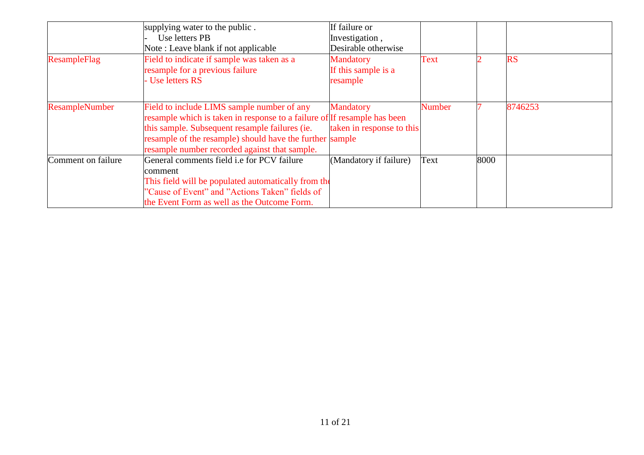|                       | supplying water to the public.                                           | If failure or             |        |      |           |
|-----------------------|--------------------------------------------------------------------------|---------------------------|--------|------|-----------|
|                       | Use letters PB                                                           | Investigation,            |        |      |           |
|                       | Note: Leave blank if not applicable                                      | Desirable otherwise       |        |      |           |
| ResampleFlag          | Field to indicate if sample was taken as a                               | <b>Mandatory</b>          | Text   |      | <b>RS</b> |
|                       | resample for a previous failure                                          | If this sample is a       |        |      |           |
|                       | - Use letters RS                                                         | resample                  |        |      |           |
| <b>ResampleNumber</b> | Field to include LIMS sample number of any                               | <b>Mandatory</b>          | Number |      | 8746253   |
|                       | resample which is taken in response to a failure of If resample has been |                           |        |      |           |
|                       | this sample. Subsequent resample failures (ie.                           | taken in response to this |        |      |           |
|                       | resample of the resample) should have the further sample                 |                           |        |      |           |
|                       | resample number recorded against that sample.                            |                           |        |      |           |
| Comment on failure    | General comments field <i>i.e</i> for PCV failure                        | (Mandatory if failure)    | Text   | 8000 |           |
|                       | comment                                                                  |                           |        |      |           |
|                       | This field will be populated automatically from the                      |                           |        |      |           |
|                       | "Cause of Event" and "Actions Taken" fields of                           |                           |        |      |           |
|                       | the Event Form as well as the Outcome Form.                              |                           |        |      |           |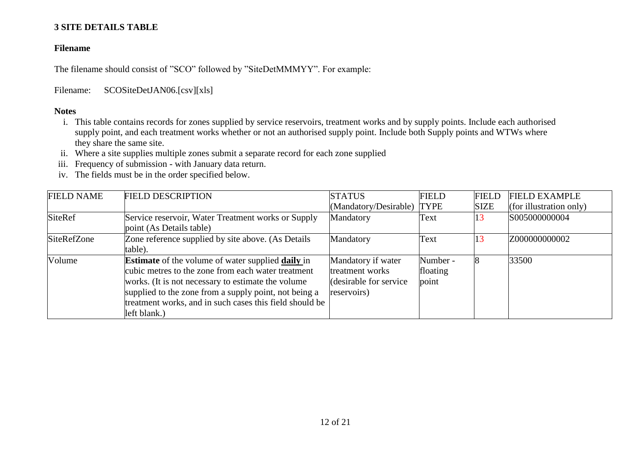## **3 SITE DETAILS TABLE**

## **Filename**

The filename should consist of "SCO" followed by "SiteDetMMMYY". For example:

Filename: SCOSiteDetJAN06.[csv][xls]

- i. This table contains records for zones supplied by service reservoirs, treatment works and by supply points. Include each authorised supply point, and each treatment works whether or not an authorised supply point. Include both Supply points and WTWs where they share the same site.
- ii. Where a site supplies multiple zones submit a separate record for each zone supplied
- iii. Frequency of submission with January data return.
- iv. The fields must be in the order specified below.

| <b>FIELD NAME</b> | <b>FIELD DESCRIPTION</b>                                                                                                                                                                                                                                                                                         | <b>STATUS</b>                                                                   | <b>FIELD</b>                  | <b>FIELD</b> | <b>FIELD EXAMPLE</b>    |
|-------------------|------------------------------------------------------------------------------------------------------------------------------------------------------------------------------------------------------------------------------------------------------------------------------------------------------------------|---------------------------------------------------------------------------------|-------------------------------|--------------|-------------------------|
|                   |                                                                                                                                                                                                                                                                                                                  | (Mandatory/Desirable) TYPE                                                      |                               | <b>SIZE</b>  | (for illustration only) |
| <b>SiteRef</b>    | Service reservoir, Water Treatment works or Supply<br>point (As Details table)                                                                                                                                                                                                                                   | Mandatory                                                                       | Text                          | 13           | S005000000004           |
| SiteRefZone       | Zone reference supplied by site above. (As Details<br>table).                                                                                                                                                                                                                                                    | Mandatory                                                                       | Text                          | 13           | Z000000000002           |
| Volume            | <b>Estimate</b> of the volume of water supplied <b>daily</b> in<br>cubic metres to the zone from each water treatment<br>works. (It is not necessary to estimate the volume)<br>supplied to the zone from a supply point, not being a<br>treatment works, and in such cases this field should be<br>left blank.) | Mandatory if water<br>treatment works<br>(desirable for service)<br>reservoirs) | Number -<br>floating<br>point |              | 33500                   |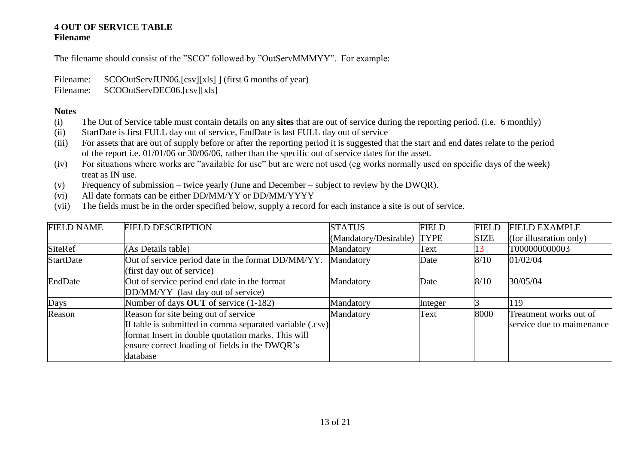## **4 OUT OF SERVICE TABLE Filename**

The filename should consist of the "SCO" followed by "OutServMMMYY". For example:

Filename: SCOOutServJUN06.[csv][xls] ] (first 6 months of year)

Filename: SCOOutServDEC06.[csv][xls]

- (i) The Out of Service table must contain details on any **sites** that are out of service during the reporting period. (i.e. 6 monthly)
- (ii) StartDate is first FULL day out of service, EndDate is last FULL day out of service
- (iii) For assets that are out of supply before or after the reporting period it is suggested that the start and end dates relate to the period of the report i.e. 01/01/06 or 30/06/06, rather than the specific out of service dates for the asset.
- (iv) For situations where works are "available for use" but are were not used (eg works normally used on specific days of the week) treat as IN use.
- (v) Frequency of submission twice yearly (June and December subject to review by the DWQR).
- (vi) All date formats can be either DD/MM/YY or DD/MM/YYYY
- (vii) The fields must be in the order specified below, supply a record for each instance a site is out of service.

| <b>FIELD NAME</b> | <b>FIELD DESCRIPTION</b>                                                                                                                                                                                             | <b>STATUS</b>              | <b>FIELD</b> | <b>FIELD</b> | <b>FIELD EXAMPLE</b>                                 |
|-------------------|----------------------------------------------------------------------------------------------------------------------------------------------------------------------------------------------------------------------|----------------------------|--------------|--------------|------------------------------------------------------|
|                   |                                                                                                                                                                                                                      | (Mandatory/Desirable) TYPE |              | <b>SIZE</b>  | (for illustration only)                              |
| <b>SiteRef</b>    | (As Details table)                                                                                                                                                                                                   | Mandatory                  | Text         |              | T000000000003                                        |
| <b>StartDate</b>  | Out of service period date in the format DD/MM/YY.<br>(first day out of service)                                                                                                                                     | Mandatory                  | Date         | 8/10         | 01/02/04                                             |
| EndDate           | Out of service period end date in the format<br>DD/MM/YY (last day out of service)                                                                                                                                   | Mandatory                  | Date         | 8/10         | 30/05/04                                             |
| Days              | Number of days OUT of service (1-182)                                                                                                                                                                                | Mandatory                  | Integer      |              | 119                                                  |
| Reason            | Reason for site being out of service<br>If table is submitted in comma separated variable (.csv)<br>format Insert in double quotation marks. This will<br>ensure correct loading of fields in the DWQR's<br>database | Mandatory                  | Text         | 8000         | Treatment works out of<br>service due to maintenance |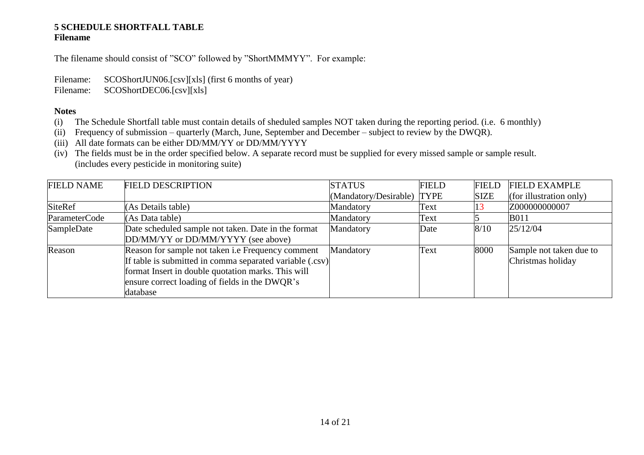#### **5 SCHEDULE SHORTFALL TABLE Filename**

The filename should consist of "SCO" followed by "ShortMMMYY". For example:

Filename: SCOShortJUN06.[csv][xls] (first 6 months of year)

Filename: SCOShortDEC06.[csv][xls]

- (i) The Schedule Shortfall table must contain details of sheduled samples NOT taken during the reporting period. (i.e. 6 monthly)
- (ii) Frequency of submission quarterly (March, June, September and December subject to review by the DWQR).
- (iii) All date formats can be either DD/MM/YY or DD/MM/YYYY
- (iv) The fields must be in the order specified below. A separate record must be supplied for every missed sample or sample result. (includes every pesticide in monitoring suite)

| <b>FIELD NAME</b> | <b>FIELD DESCRIPTION</b>                                                                                                                                                                                                                 | <b>STATUS</b>              | <b>FIELD</b> | <b>FIELD</b> | <b>FIELD EXAMPLE</b>                         |
|-------------------|------------------------------------------------------------------------------------------------------------------------------------------------------------------------------------------------------------------------------------------|----------------------------|--------------|--------------|----------------------------------------------|
|                   |                                                                                                                                                                                                                                          | (Mandatory/Desirable) TYPE |              | <b>SIZE</b>  | (for illustration only)                      |
| <b>SiteRef</b>    | (As Details table)                                                                                                                                                                                                                       | Mandatory                  | Text         | LO           | Z000000000007                                |
| ParameterCode     | (As Data table)                                                                                                                                                                                                                          | Mandatory                  | Text         |              | <b>B011</b>                                  |
| SampleDate        | Date scheduled sample not taken. Date in the format<br>DD/MM/YY or DD/MM/YYYY (see above)                                                                                                                                                | Mandatory                  | Date         | 8/10         | 25/12/04                                     |
| Reason            | Reason for sample not taken <i>i.e</i> Frequency comment<br>If table is submitted in comma separated variable (.csv)<br>format Insert in double quotation marks. This will<br>ensure correct loading of fields in the DWQR's<br>database | Mandatory                  | Text         | 8000         | Sample not taken due to<br>Christmas holiday |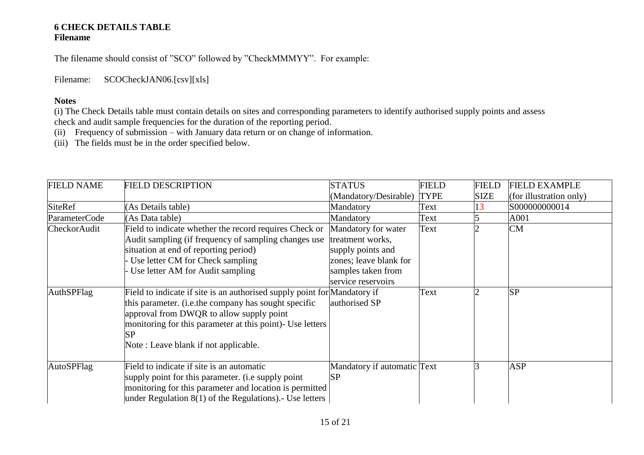#### **6 CHECK DETAILS TABLE Filename**

The filename should consist of "SCO" followed by "CheckMMMYY". For example:

Filename: SCOCheckJAN06.[csv][xls]

## **Notes**

(i) The Check Details table must contain details on sites and corresponding parameters to identify authorised supply points and assess check and audit sample frequencies for the duration of the reporting period.

- (ii) Frequency of submission with January data return or on change of information.
- (iii) The fields must be in the order specified below.

| <b>FIELD NAME</b>   | <b>FIELD DESCRIPTION</b>                                                                                                                                                                                                                                                                 | <b>STATUS</b>                                                                                                                      | <b>FIELD</b> | <b>FIELD</b> | <b>FIELD EXAMPLE</b>    |
|---------------------|------------------------------------------------------------------------------------------------------------------------------------------------------------------------------------------------------------------------------------------------------------------------------------------|------------------------------------------------------------------------------------------------------------------------------------|--------------|--------------|-------------------------|
|                     |                                                                                                                                                                                                                                                                                          | (Mandatory/Desirable)                                                                                                              | <b>TYPE</b>  | <b>SIZE</b>  | (for illustration only) |
| <b>SiteRef</b>      | (As Details table)                                                                                                                                                                                                                                                                       | Mandatory                                                                                                                          | Text         |              | S000000000014           |
| ParameterCode       | (As Data table)                                                                                                                                                                                                                                                                          | Mandatory                                                                                                                          | Text         |              | A001                    |
| <b>CheckorAudit</b> | Field to indicate whether the record requires Check or<br>Audit sampling (if frequency of sampling changes use<br>situation at end of reporting period)<br>Use letter CM for Check sampling<br>Use letter AM for Audit sampling                                                          | Mandatory for water<br>treatment works,<br>supply points and<br>zones; leave blank for<br>samples taken from<br>service reservoirs | Text         |              | <b>CM</b>               |
| AuthSPFlag          | Field to indicate if site is an authorised supply point for Mandatory if<br>this parameter. (i.e.the company has sought specific<br>approval from DWQR to allow supply point<br>monitoring for this parameter at this point)- Use letters<br>ISP<br>Note: Leave blank if not applicable. | authorised SP                                                                                                                      | Text         |              | <b>SP</b>               |
| AutoSPFlag          | Field to indicate if site is an automatic<br>supply point for this parameter. (i.e supply point<br>monitoring for this parameter and location is permitted<br>under Regulation $8(1)$ of the Regulations). Use letters                                                                   | Mandatory if automatic Text<br><b>SP</b>                                                                                           |              |              | <b>ASP</b>              |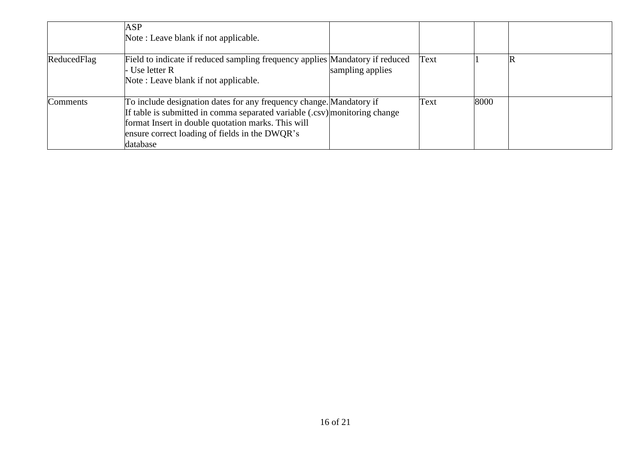|             | <b>ASP</b><br>Note: Leave blank if not applicable.                                                                                                                                                                                                                    |                  |      |      |  |
|-------------|-----------------------------------------------------------------------------------------------------------------------------------------------------------------------------------------------------------------------------------------------------------------------|------------------|------|------|--|
| ReducedFlag | Field to indicate if reduced sampling frequency applies Mandatory if reduced<br>Use letter R<br>Note: Leave blank if not applicable.                                                                                                                                  | sampling applies | Text |      |  |
| Comments    | To include designation dates for any frequency change. Mandatory if<br>If table is submitted in comma separated variable (.csv) monitoring change<br>format Insert in double quotation marks. This will<br>ensure correct loading of fields in the DWQR's<br>database |                  | Text | 8000 |  |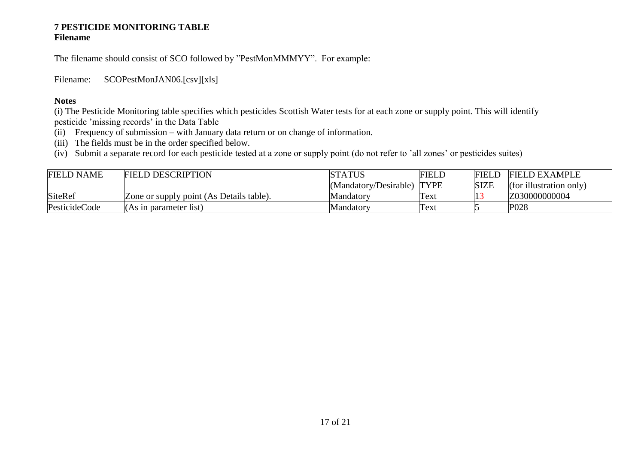#### **7 PESTICIDE MONITORING TABLE Filename**

The filename should consist of SCO followed by "PestMonMMMYY". For example:

Filename: SCOPestMonJAN06.[csv][xls]

## **Notes**

(i) The Pesticide Monitoring table specifies which pesticides Scottish Water tests for at each zone or supply point. This will identify pesticide 'missing records' in the Data Table

- (ii) Frequency of submission with January data return or on change of information.
- (iii) The fields must be in the order specified below.

(iv) Submit a separate record for each pesticide tested at a zone or supply point (do not refer to 'all zones' or pesticides suites)

| <b>FIELD NAME</b> | <b>FIELD DESCRIPTION</b>                        | <b>STATUS</b>              | <b>FIELD</b> | <b>FIELD</b> | <b>FIELD EXAMPLE</b>    |
|-------------------|-------------------------------------------------|----------------------------|--------------|--------------|-------------------------|
|                   |                                                 | (Mandatory/Desirable) TYPE |              | <b>SIZE</b>  | (for illustration only) |
| <b>SiteRef</b>    | <b>Zone or supply point (As Details table).</b> | Mandatory                  | Text         |              | Z030000000004           |
| PesticideCode     | (As in parameter list)                          | Mandatorv                  | Text         |              | P <sub>028</sub>        |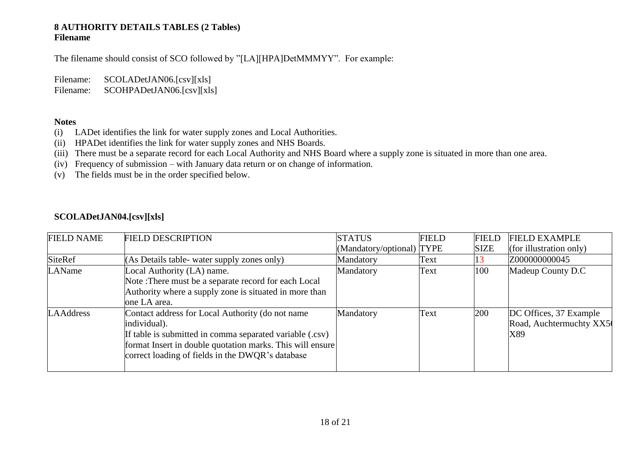## **8 AUTHORITY DETAILS TABLES (2 Tables) Filename**

The filename should consist of SCO followed by "[LA][HPA]DetMMMYY". For example:

Filename: SCOLADetJAN06.[csv][xls] Filename: SCOHPADetJAN06.[csv][xls]

#### **Notes**

- (i) LADet identifies the link for water supply zones and Local Authorities.
- (ii) HPADet identifies the link for water supply zones and NHS Boards.
- (iii) There must be a separate record for each Local Authority and NHS Board where a supply zone is situated in more than one area.
- (iv) Frequency of submission with January data return or on change of information.
- (v) The fields must be in the order specified below.

# **SCOLADetJAN04.[csv][xls]**

| <b>FIELD NAME</b> | <b>FIELD DESCRIPTION</b>                                  | <b>STATUS</b>             | <b>FIELD</b> | <b>FIELD</b> | <b>FIELD EXAMPLE</b>    |
|-------------------|-----------------------------------------------------------|---------------------------|--------------|--------------|-------------------------|
|                   |                                                           | (Mandatory/optional) TYPE |              | <b>SIZE</b>  | (for illustration only) |
| SiteRef           | $(As Details table - water supply zones only)$            | Mandatory                 | Text         |              | Z000000000045           |
| LAName            | Local Authority (LA) name.                                | Mandatory                 | Text         | 100          | Madeup County D.C       |
|                   | Note: There must be a separate record for each Local      |                           |              |              |                         |
|                   | Authority where a supply zone is situated in more than    |                           |              |              |                         |
|                   | one LA area.                                              |                           |              |              |                         |
| <b>LAAddress</b>  | Contact address for Local Authority (do not name          | Mandatory                 | Text         | <b>200</b>   | DC Offices, 37 Example  |
|                   | individual).                                              |                           |              |              | Road, Auchtermuchty XX5 |
|                   | If table is submitted in comma separated variable (.csv)  |                           |              |              | X89                     |
|                   | format Insert in double quotation marks. This will ensure |                           |              |              |                         |
|                   | correct loading of fields in the DWQR's database          |                           |              |              |                         |
|                   |                                                           |                           |              |              |                         |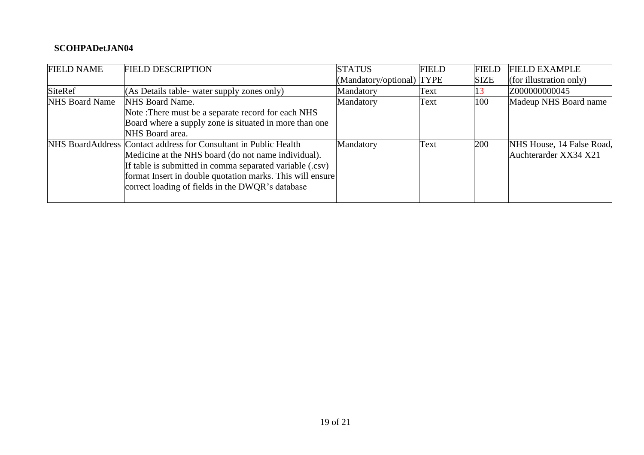# **SCOHPADetJAN04**

| <b>FIELD NAME</b>     | <b>FIELD DESCRIPTION</b>                                         | <b>STATUS</b>            | <b>FIELD</b> | <b>FIELD</b> | <b>FIELD EXAMPLE</b>      |
|-----------------------|------------------------------------------------------------------|--------------------------|--------------|--------------|---------------------------|
|                       |                                                                  | Mandatory/optional) TYPE |              | <b>SIZE</b>  | (for illustration only)   |
| SiteRef               | (As Details table- water supply zones only)                      | Mandatory                | Text         |              | Z000000000045             |
| <b>NHS Board Name</b> | NHS Board Name.                                                  | Mandatory                | Text         | 100          | Madeup NHS Board name     |
|                       | Note: There must be a separate record for each NHS               |                          |              |              |                           |
|                       | Board where a supply zone is situated in more than one           |                          |              |              |                           |
|                       | NHS Board area.                                                  |                          |              |              |                           |
|                       | NHS BoardAddress Contact address for Consultant in Public Health | Mandatory                | Text         | 200          | NHS House, 14 False Road. |
|                       | Medicine at the NHS board (do not name individual).              |                          |              |              | Auchterarder XX34 X21     |
|                       | If table is submitted in comma separated variable (.csv)         |                          |              |              |                           |
|                       | format Insert in double quotation marks. This will ensure        |                          |              |              |                           |
|                       | correct loading of fields in the DWQR's database                 |                          |              |              |                           |
|                       |                                                                  |                          |              |              |                           |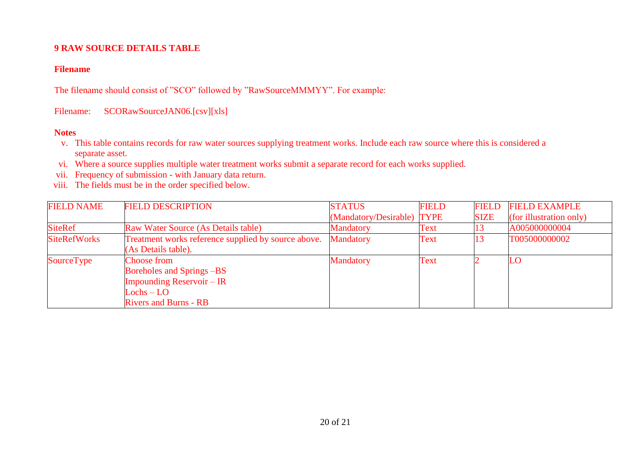## **9 RAW SOURCE DETAILS TABLE**

## **Filename**

The filename should consist of "SCO" followed by "RawSourceMMMYY". For example:

Filename: SCORawSourceJAN06.[csv][xls]

- v. This table contains records for raw water sources supplying treatment works. Include each raw source where this is considered a separate asset.
- vi. Where a source supplies multiple water treatment works submit a separate record for each works supplied.
- vii. Frequency of submission with January data return.
- viii. The fields must be in the order specified below.

| <b>FIELD NAME</b>   | <b>FIELD DESCRIPTION</b>                                                                                                            | <b>STATUS</b>              | <b>FIELD</b> | <b>FIELD</b> | <b>FIELD EXAMPLE</b>    |
|---------------------|-------------------------------------------------------------------------------------------------------------------------------------|----------------------------|--------------|--------------|-------------------------|
|                     |                                                                                                                                     | (Mandatory/Desirable) TYPE |              | <b>SIZE</b>  | (for illustration only) |
| <b>SiteRef</b>      | <b>Raw Water Source (As Details table)</b>                                                                                          | <b>Mandatory</b>           | Text         |              | A005000000004           |
| <b>SiteRefWorks</b> | Treatment works reference supplied by source above.<br>(As Details table).                                                          | <b>Mandatory</b>           | Text         |              | T005000000002           |
| SourceType          | <b>Choose from</b><br>Boreholes and Springs -BS<br><b>Impounding Reservoir – IR</b><br>$Lochs - LO$<br><b>Rivers and Burns - RB</b> | <b>Mandatory</b>           | Text         |              | LO                      |